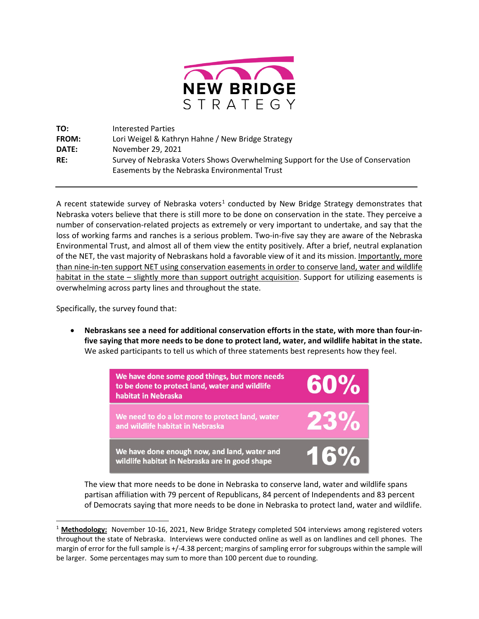

**TO:** Interested Parties **FROM:** Lori Weigel & Kathryn Hahne / New Bridge Strategy **DATE:** November 29, 2021 **RE:** Survey of Nebraska Voters Shows Overwhelming Support for the Use of Conservation Easements by the Nebraska Environmental Trust

A recent statewide survey of Nebraska voters<sup>[1](#page-0-0)</sup> conducted by New Bridge Strategy demonstrates that Nebraska voters believe that there is still more to be done on conservation in the state. They perceive a number of conservation-related projects as extremely or very important to undertake, and say that the loss of working farms and ranches is a serious problem. Two-in-five say they are aware of the Nebraska Environmental Trust, and almost all of them view the entity positively. After a brief, neutral explanation of the NET, the vast majority of Nebraskans hold a favorable view of it and its mission. Importantly, more than nine-in-ten support NET using conservation easements in order to conserve land, water and wildlife habitat in the state – slightly more than support outright acquisition. Support for utilizing easements is overwhelming across party lines and throughout the state.

Specifically, the survey found that:

• **Nebraskans see a need for additional conservation efforts in the state, with more than four-infive saying that more needs to be done to protect land, water, and wildlife habitat in the state.** We asked participants to tell us which of three statements best represents how they feel.



The view that more needs to be done in Nebraska to conserve land, water and wildlife spans partisan affiliation with 79 percent of Republicans, 84 percent of Independents and 83 percent of Democrats saying that more needs to be done in Nebraska to protect land, water and wildlife.

<span id="page-0-0"></span><sup>1</sup> **Methodology:** November 10-16, 2021, New Bridge Strategy completed 504 interviews among registered voters throughout the state of Nebraska. Interviews were conducted online as well as on landlines and cell phones. The margin of error for the full sample is +/-4.38 percent; margins of sampling error for subgroups within the sample will be larger. Some percentages may sum to more than 100 percent due to rounding.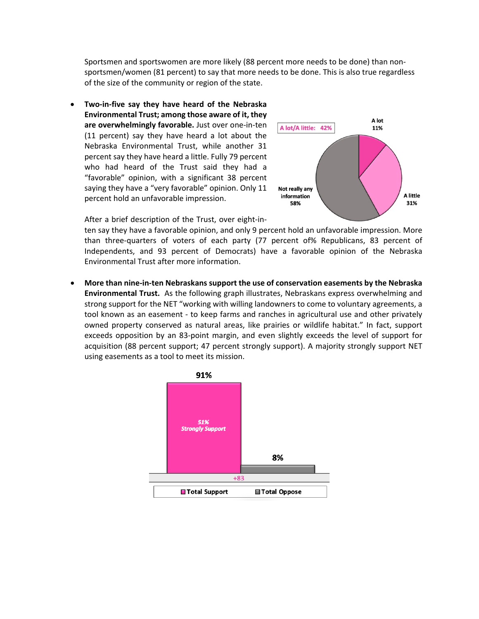Sportsmen and sportswomen are more likely (88 percent more needs to be done) than nonsportsmen/women (81 percent) to say that more needs to be done. This is also true regardless of the size of the community or region of the state.

• **Two-in-five say they have heard of the Nebraska Environmental Trust; among those aware of it, they are overwhelmingly favorable.** Just over one-in-ten (11 percent) say they have heard a lot about the Nebraska Environmental Trust, while another 31 percent say they have heard a little. Fully 79 percent who had heard of the Trust said they had a "favorable" opinion, with a significant 38 percent saying they have a "very favorable" opinion. Only 11 percent hold an unfavorable impression.



After a brief description of the Trust, over eight-in-

ten say they have a favorable opinion, and only 9 percent hold an unfavorable impression. More than three-quarters of voters of each party (77 percent of% Republicans, 83 percent of Independents, and 93 percent of Democrats) have a favorable opinion of the Nebraska Environmental Trust after more information.

• **More than nine-in-ten Nebraskans support the use of conservation easements by the Nebraska Environmental Trust.** As the following graph illustrates, Nebraskans express overwhelming and strong support for the NET "working with willing landowners to come to voluntary agreements, a tool known as an easement - to keep farms and ranches in agricultural use and other privately owned property conserved as natural areas, like prairies or wildlife habitat." In fact, support exceeds opposition by an 83-point margin, and even slightly exceeds the level of support for acquisition (88 percent support; 47 percent strongly support). A majority strongly support NET using easements as a tool to meet its mission.